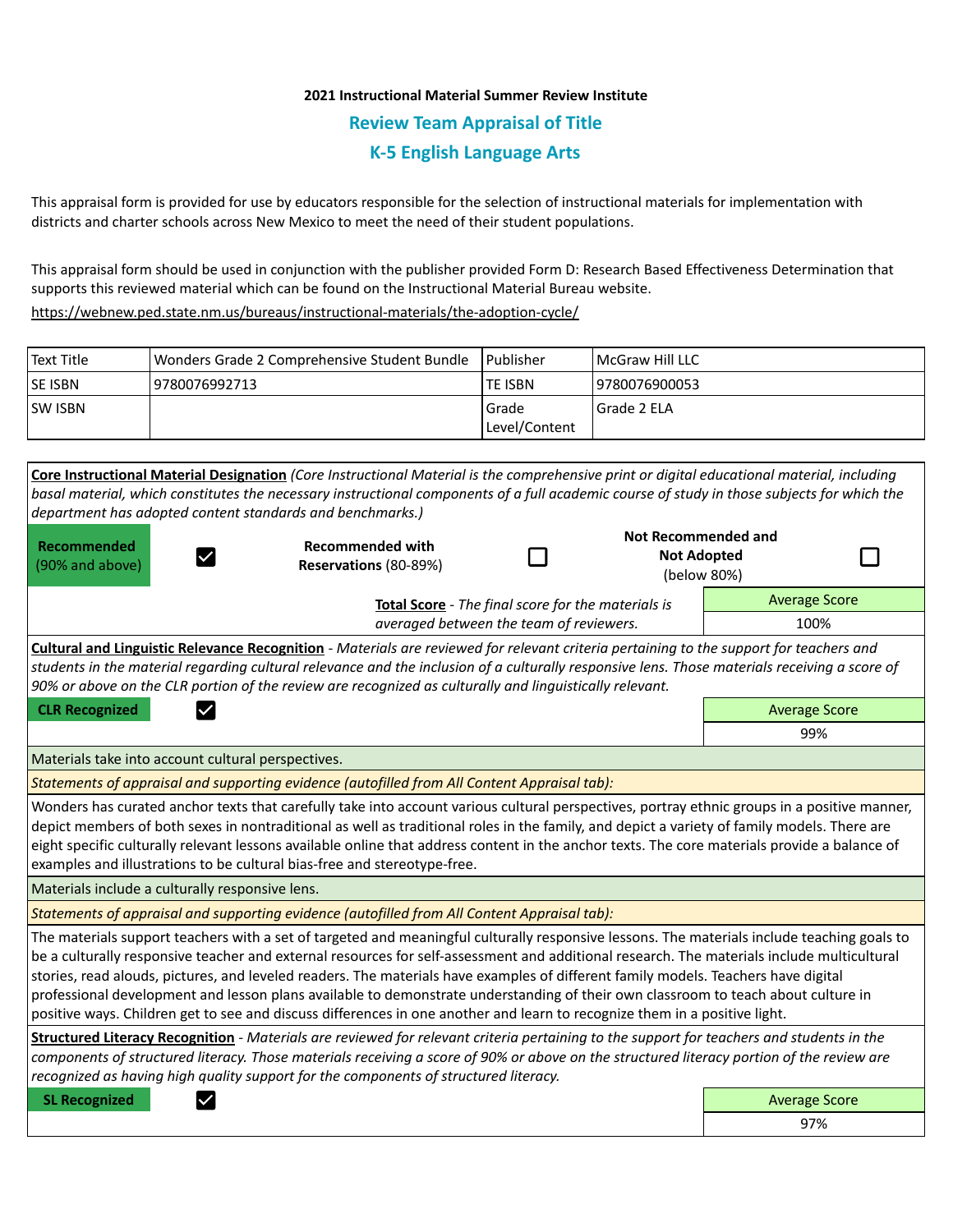## **2021 Instructional Material Summer Review Institute Review Team Appraisal of Title K-5 English Language Arts**

This appraisal form is provided for use by educators responsible for the selection of instructional materials for implementation with districts and charter schools across New Mexico to meet the need of their student populations.

This appraisal form should be used in conjunction with the publisher provided Form D: Research Based Effectiveness Determination that supports this reviewed material which can be found on the Instructional Material Bureau website.

<https://webnew.ped.state.nm.us/bureaus/instructional-materials/the-adoption-cycle/>

| <b>Text Title</b> | Wonders Grade 2 Comprehensive Student Bundle | l Publisher                | <b>IMcGraw Hill LLC</b> |
|-------------------|----------------------------------------------|----------------------------|-------------------------|
| <b>SE ISBN</b>    | 9780076992713                                | <b>TE ISBN</b>             | 9780076900053           |
| <b>SW ISBN</b>    |                                              | l Grade<br>  Level/Content | Grade 2 ELA             |

**Core Instructional Material Designation** *(Core Instructional Material is the comprehensive print or digital educational material, including basal material, which constitutes the necessary instructional components of a full academic course of study in those subjects for which the department has adopted content standards and benchmarks.)* **Not Recommended and Recommended Recommended with**  П **Not Adopted**  П  $\checkmark$ (90% and above) **Reservations** (80-89%) (below 80%) Average Score **Total Score** - *The final score for the materials is averaged between the team of reviewers.* 100% **Cultural and Linguistic Relevance Recognition** - *Materials are reviewed for relevant criteria pertaining to the support for teachers and students in the material regarding cultural relevance and the inclusion of a culturally responsive lens. Those materials receiving a score of 90% or above on the CLR portion of the review are recognized as culturally and linguistically relevant.* **CLR Recognized Average Score Average Score Average Score Average Score Average Score** 99% Materials take into account cultural perspectives. *Statements of appraisal and supporting evidence (autofilled from All Content Appraisal tab):*  Wonders has curated anchor texts that carefully take into account various cultural perspectives, portray ethnic groups in a positive manner, depict members of both sexes in nontraditional as well as traditional roles in the family, and depict a variety of family models. There are eight specific culturally relevant lessons available online that address content in the anchor texts. The core materials provide a balance of examples and illustrations to be cultural bias-free and stereotype-free. Materials include a culturally responsive lens. *Statements of appraisal and supporting evidence (autofilled from All Content Appraisal tab):*  The materials support teachers with a set of targeted and meaningful culturally responsive lessons. The materials include teaching goals to be a culturally responsive teacher and external resources for self-assessment and additional research. The materials include multicultural stories, read alouds, pictures, and leveled readers. The materials have examples of different family models. Teachers have digital professional development and lesson plans available to demonstrate understanding of their own classroom to teach about culture in positive ways. Children get to see and discuss differences in one another and learn to recognize them in a positive light. **Structured Literacy Recognition** - *Materials are reviewed for relevant criteria pertaining to the support for teachers and students in the components of structured literacy. Those materials receiving a score of 90% or above on the structured literacy portion of the review are recognized as having high quality support for the components of structured literacy.* **SL Recognized Average Score** Average Score and Average Score and Average Score and Average Score and Average Score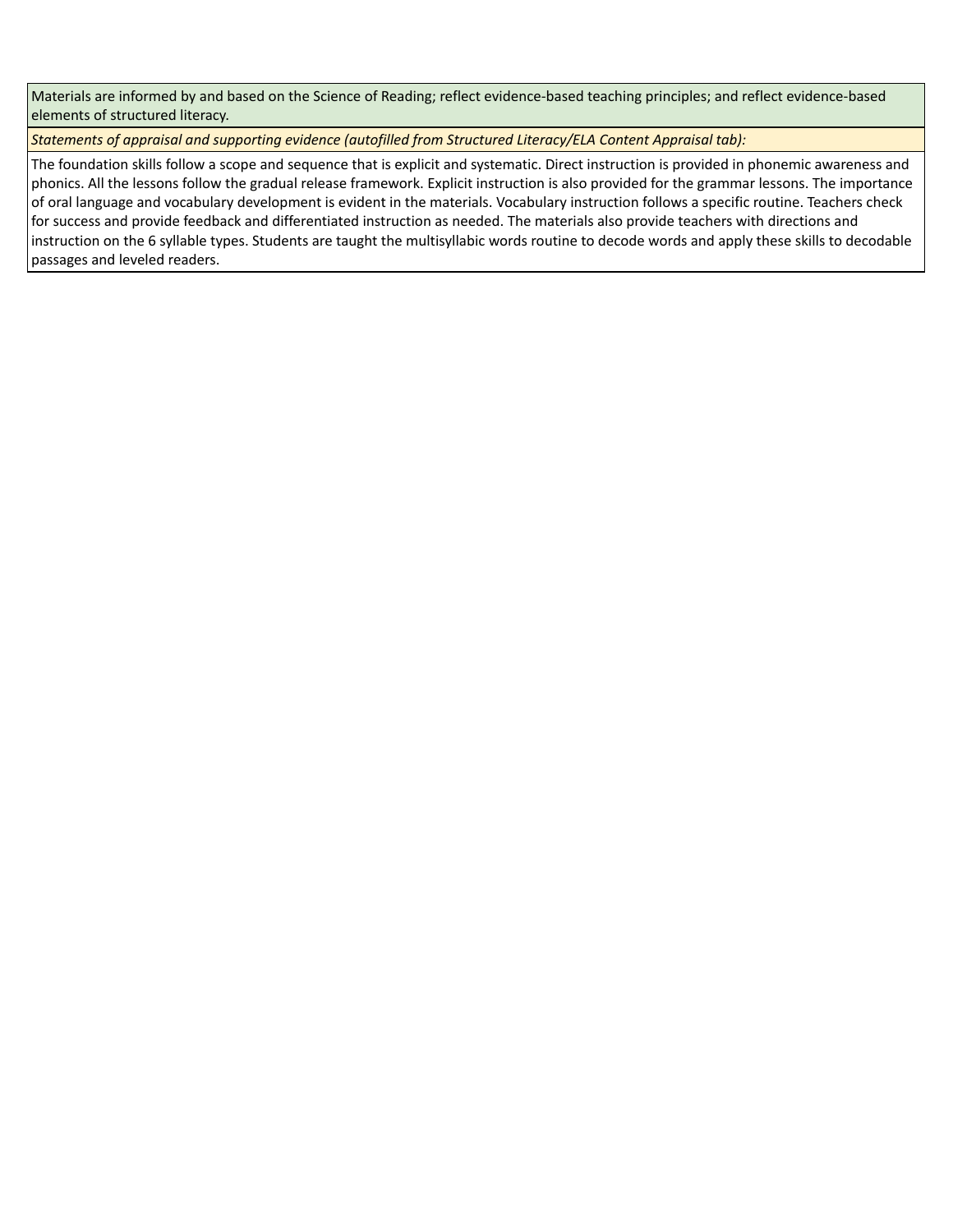Materials are informed by and based on the Science of Reading; reflect evidence-based teaching principles; and reflect evidence-based elements of structured literacy.

*Statements of appraisal and supporting evidence (autofilled from Structured Literacy/ELA Content Appraisal tab):* 

The foundation skills follow a scope and sequence that is explicit and systematic. Direct instruction is provided in phonemic awareness and phonics. All the lessons follow the gradual release framework. Explicit instruction is also provided for the grammar lessons. The importance of oral language and vocabulary development is evident in the materials. Vocabulary instruction follows a specific routine. Teachers check for success and provide feedback and differentiated instruction as needed. The materials also provide teachers with directions and instruction on the 6 syllable types. Students are taught the multisyllabic words routine to decode words and apply these skills to decodable passages and leveled readers.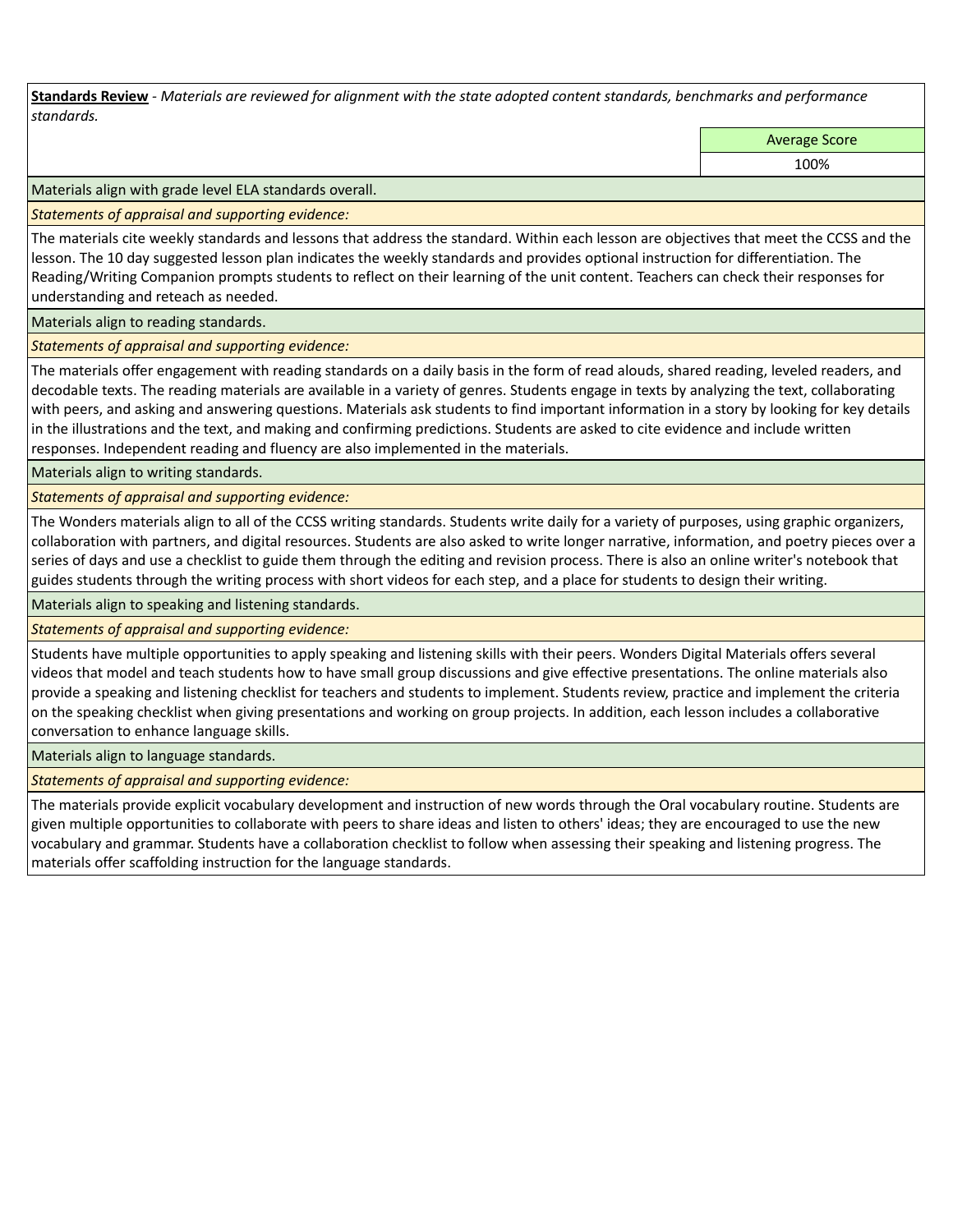**Standards Review** *- Materials are reviewed for alignment with the state adopted content standards, benchmarks and performance standards.*

Average Score

100%

Materials align with grade level ELA standards overall.

*Statements of appraisal and supporting evidence:* 

The materials cite weekly standards and lessons that address the standard. Within each lesson are objectives that meet the CCSS and the lesson. The 10 day suggested lesson plan indicates the weekly standards and provides optional instruction for differentiation. The Reading/Writing Companion prompts students to reflect on their learning of the unit content. Teachers can check their responses for understanding and reteach as needed.

Materials align to reading standards.

*Statements of appraisal and supporting evidence:* 

The materials offer engagement with reading standards on a daily basis in the form of read alouds, shared reading, leveled readers, and decodable texts. The reading materials are available in a variety of genres. Students engage in texts by analyzing the text, collaborating with peers, and asking and answering questions. Materials ask students to find important information in a story by looking for key details in the illustrations and the text, and making and confirming predictions. Students are asked to cite evidence and include written responses. Independent reading and fluency are also implemented in the materials.

Materials align to writing standards.

*Statements of appraisal and supporting evidence:* 

The Wonders materials align to all of the CCSS writing standards. Students write daily for a variety of purposes, using graphic organizers, collaboration with partners, and digital resources. Students are also asked to write longer narrative, information, and poetry pieces over a series of days and use a checklist to guide them through the editing and revision process. There is also an online writer's notebook that guides students through the writing process with short videos for each step, and a place for students to design their writing.

Materials align to speaking and listening standards.

*Statements of appraisal and supporting evidence:* 

Students have multiple opportunities to apply speaking and listening skills with their peers. Wonders Digital Materials offers several videos that model and teach students how to have small group discussions and give effective presentations. The online materials also provide a speaking and listening checklist for teachers and students to implement. Students review, practice and implement the criteria on the speaking checklist when giving presentations and working on group projects. In addition, each lesson includes a collaborative conversation to enhance language skills.

Materials align to language standards.

*Statements of appraisal and supporting evidence:* 

The materials provide explicit vocabulary development and instruction of new words through the Oral vocabulary routine. Students are given multiple opportunities to collaborate with peers to share ideas and listen to others' ideas; they are encouraged to use the new vocabulary and grammar. Students have a collaboration checklist to follow when assessing their speaking and listening progress. The materials offer scaffolding instruction for the language standards.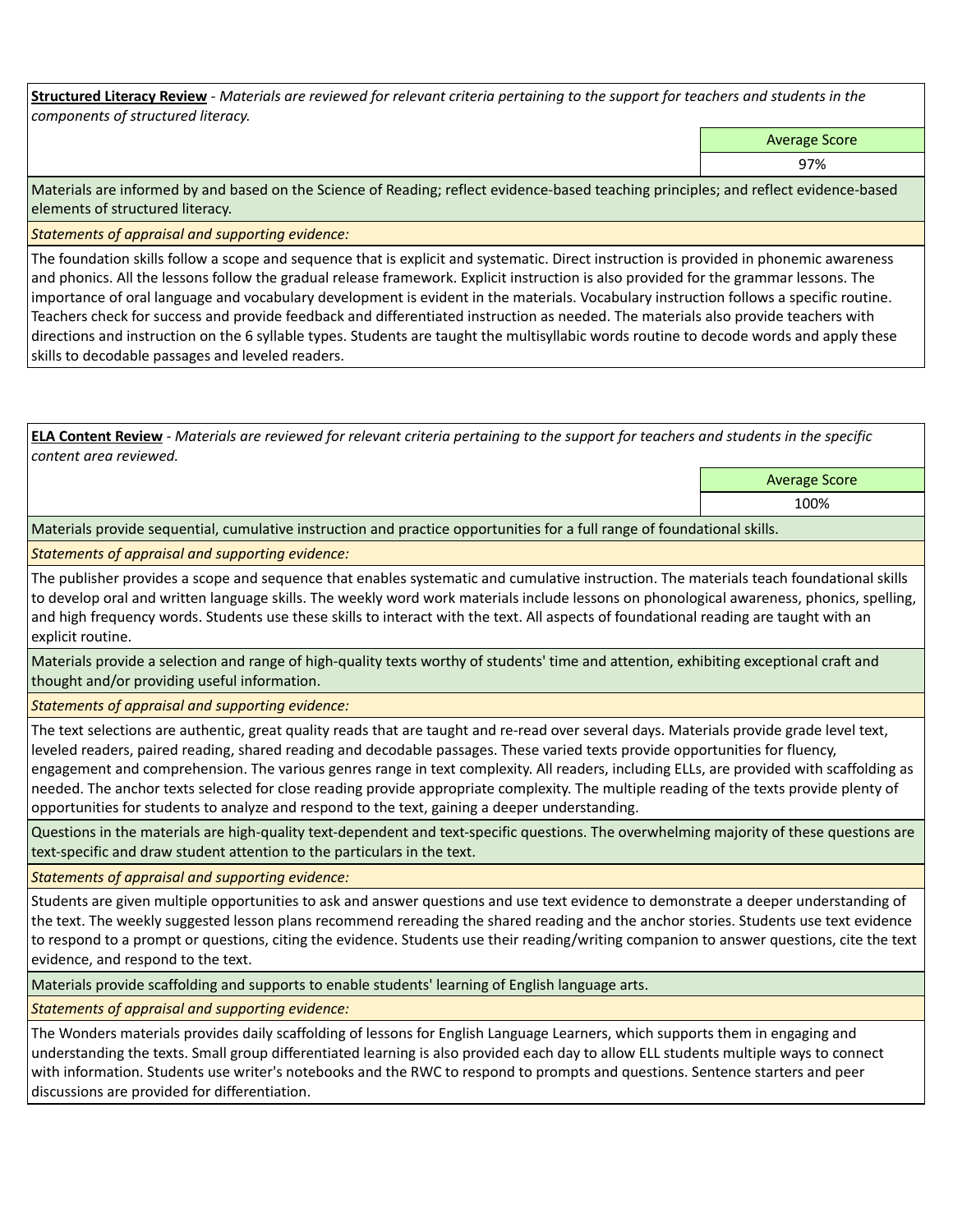**Structured Literacy Review** *- Materials are reviewed for relevant criteria pertaining to the support for teachers and students in the components of structured literacy.*

Average Score

97%

Materials are informed by and based on the Science of Reading; reflect evidence-based teaching principles; and reflect evidence-based elements of structured literacy.

*Statements of appraisal and supporting evidence:*

The foundation skills follow a scope and sequence that is explicit and systematic. Direct instruction is provided in phonemic awareness and phonics. All the lessons follow the gradual release framework. Explicit instruction is also provided for the grammar lessons. The importance of oral language and vocabulary development is evident in the materials. Vocabulary instruction follows a specific routine. Teachers check for success and provide feedback and differentiated instruction as needed. The materials also provide teachers with directions and instruction on the 6 syllable types. Students are taught the multisyllabic words routine to decode words and apply these skills to decodable passages and leveled readers.

**ELA Content Review** *- Materials are reviewed for relevant criteria pertaining to the support for teachers and students in the specific content area reviewed.*

> Average Score 100%

Materials provide sequential, cumulative instruction and practice opportunities for a full range of foundational skills.

*Statements of appraisal and supporting evidence:* 

The publisher provides a scope and sequence that enables systematic and cumulative instruction. The materials teach foundational skills to develop oral and written language skills. The weekly word work materials include lessons on phonological awareness, phonics, spelling, and high frequency words. Students use these skills to interact with the text. All aspects of foundational reading are taught with an explicit routine.

Materials provide a selection and range of high-quality texts worthy of students' time and attention, exhibiting exceptional craft and thought and/or providing useful information.

*Statements of appraisal and supporting evidence:* 

The text selections are authentic, great quality reads that are taught and re-read over several days. Materials provide grade level text, leveled readers, paired reading, shared reading and decodable passages. These varied texts provide opportunities for fluency, engagement and comprehension. The various genres range in text complexity. All readers, including ELLs, are provided with scaffolding as needed. The anchor texts selected for close reading provide appropriate complexity. The multiple reading of the texts provide plenty of opportunities for students to analyze and respond to the text, gaining a deeper understanding.

Questions in the materials are high-quality text-dependent and text-specific questions. The overwhelming majority of these questions are text-specific and draw student attention to the particulars in the text.

*Statements of appraisal and supporting evidence:* 

Students are given multiple opportunities to ask and answer questions and use text evidence to demonstrate a deeper understanding of the text. The weekly suggested lesson plans recommend rereading the shared reading and the anchor stories. Students use text evidence to respond to a prompt or questions, citing the evidence. Students use their reading/writing companion to answer questions, cite the text evidence, and respond to the text.

Materials provide scaffolding and supports to enable students' learning of English language arts.

*Statements of appraisal and supporting evidence:* 

The Wonders materials provides daily scaffolding of lessons for English Language Learners, which supports them in engaging and understanding the texts. Small group differentiated learning is also provided each day to allow ELL students multiple ways to connect with information. Students use writer's notebooks and the RWC to respond to prompts and questions. Sentence starters and peer discussions are provided for differentiation.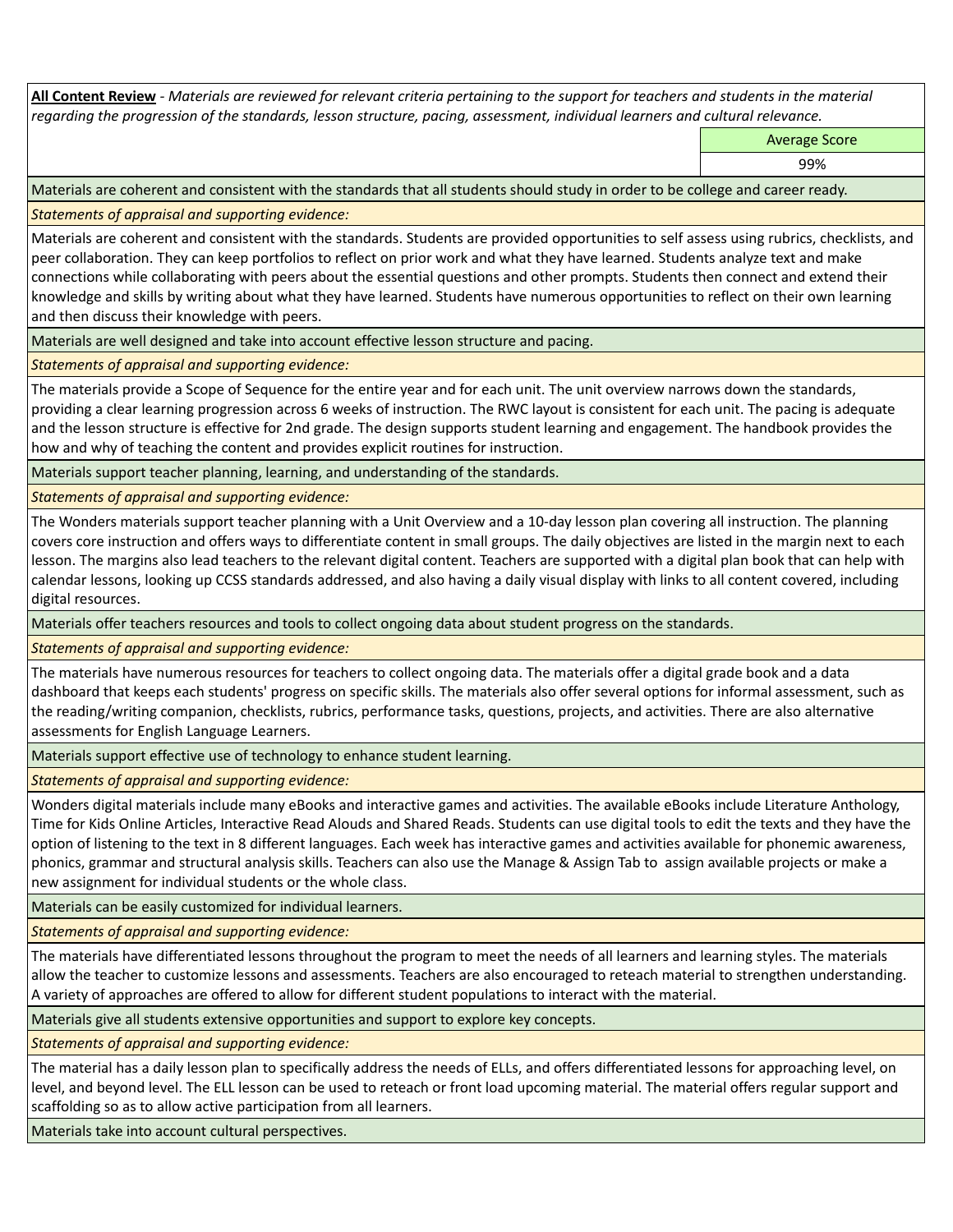**All Content Review** *- Materials are reviewed for relevant criteria pertaining to the support for teachers and students in the material regarding the progression of the standards, lesson structure, pacing, assessment, individual learners and cultural relevance.*

Average Score

99%

Materials are coherent and consistent with the standards that all students should study in order to be college and career ready.

*Statements of appraisal and supporting evidence:*

Materials are coherent and consistent with the standards. Students are provided opportunities to self assess using rubrics, checklists, and peer collaboration. They can keep portfolios to reflect on prior work and what they have learned. Students analyze text and make connections while collaborating with peers about the essential questions and other prompts. Students then connect and extend their knowledge and skills by writing about what they have learned. Students have numerous opportunities to reflect on their own learning and then discuss their knowledge with peers.

Materials are well designed and take into account effective lesson structure and pacing.

*Statements of appraisal and supporting evidence:*

The materials provide a Scope of Sequence for the entire year and for each unit. The unit overview narrows down the standards, providing a clear learning progression across 6 weeks of instruction. The RWC layout is consistent for each unit. The pacing is adequate and the lesson structure is effective for 2nd grade. The design supports student learning and engagement. The handbook provides the how and why of teaching the content and provides explicit routines for instruction.

Materials support teacher planning, learning, and understanding of the standards.

*Statements of appraisal and supporting evidence:*

The Wonders materials support teacher planning with a Unit Overview and a 10-day lesson plan covering all instruction. The planning covers core instruction and offers ways to differentiate content in small groups. The daily objectives are listed in the margin next to each lesson. The margins also lead teachers to the relevant digital content. Teachers are supported with a digital plan book that can help with calendar lessons, looking up CCSS standards addressed, and also having a daily visual display with links to all content covered, including digital resources.

Materials offer teachers resources and tools to collect ongoing data about student progress on the standards.

*Statements of appraisal and supporting evidence:*

The materials have numerous resources for teachers to collect ongoing data. The materials offer a digital grade book and a data dashboard that keeps each students' progress on specific skills. The materials also offer several options for informal assessment, such as the reading/writing companion, checklists, rubrics, performance tasks, questions, projects, and activities. There are also alternative assessments for English Language Learners.

Materials support effective use of technology to enhance student learning.

*Statements of appraisal and supporting evidence:*

Wonders digital materials include many eBooks and interactive games and activities. The available eBooks include Literature Anthology, Time for Kids Online Articles, Interactive Read Alouds and Shared Reads. Students can use digital tools to edit the texts and they have the option of listening to the text in 8 different languages. Each week has interactive games and activities available for phonemic awareness, phonics, grammar and structural analysis skills. Teachers can also use the Manage & Assign Tab to assign available projects or make a new assignment for individual students or the whole class.

Materials can be easily customized for individual learners.

*Statements of appraisal and supporting evidence:* 

The materials have differentiated lessons throughout the program to meet the needs of all learners and learning styles. The materials allow the teacher to customize lessons and assessments. Teachers are also encouraged to reteach material to strengthen understanding. A variety of approaches are offered to allow for different student populations to interact with the material.

Materials give all students extensive opportunities and support to explore key concepts.

*Statements of appraisal and supporting evidence:*

The material has a daily lesson plan to specifically address the needs of ELLs, and offers differentiated lessons for approaching level, on level, and beyond level. The ELL lesson can be used to reteach or front load upcoming material. The material offers regular support and scaffolding so as to allow active participation from all learners.

Materials take into account cultural perspectives.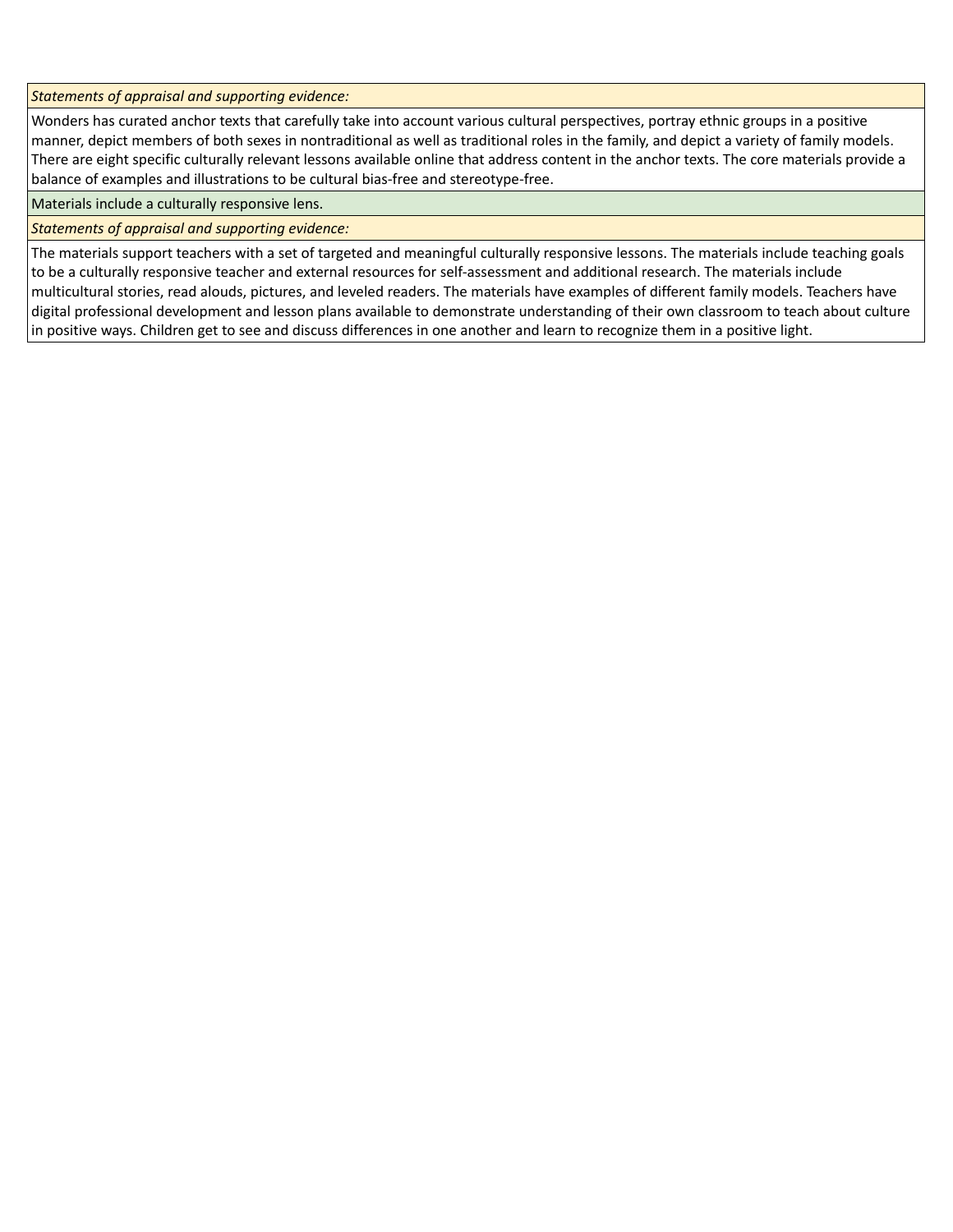*Statements of appraisal and supporting evidence:*

Wonders has curated anchor texts that carefully take into account various cultural perspectives, portray ethnic groups in a positive manner, depict members of both sexes in nontraditional as well as traditional roles in the family, and depict a variety of family models. There are eight specific culturally relevant lessons available online that address content in the anchor texts. The core materials provide a balance of examples and illustrations to be cultural bias-free and stereotype-free.

Materials include a culturally responsive lens.

*Statements of appraisal and supporting evidence:*

The materials support teachers with a set of targeted and meaningful culturally responsive lessons. The materials include teaching goals to be a culturally responsive teacher and external resources for self-assessment and additional research. The materials include multicultural stories, read alouds, pictures, and leveled readers. The materials have examples of different family models. Teachers have digital professional development and lesson plans available to demonstrate understanding of their own classroom to teach about culture in positive ways. Children get to see and discuss differences in one another and learn to recognize them in a positive light.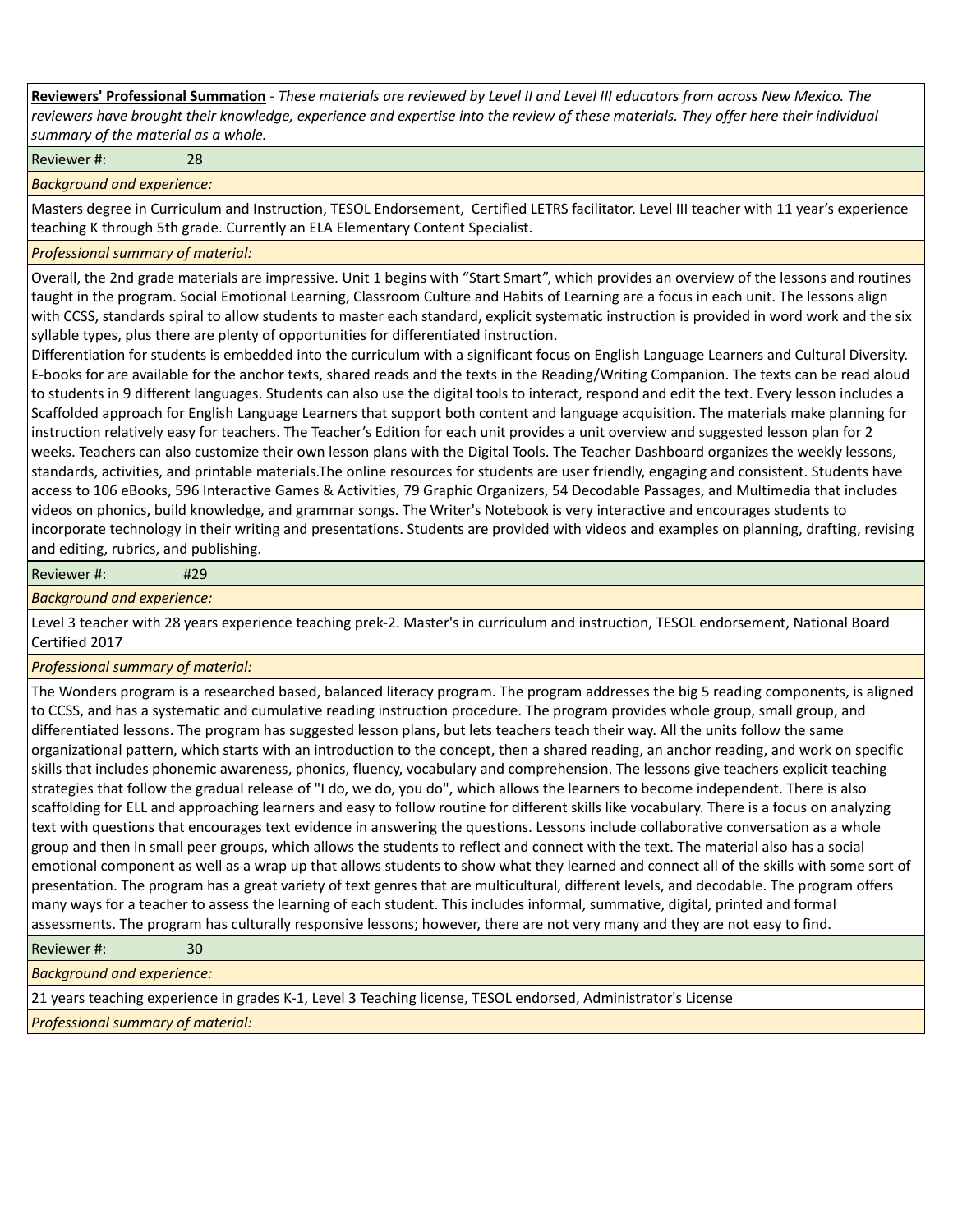**Reviewers' Professional Summation** *- These materials are reviewed by Level II and Level III educators from across New Mexico. The reviewers have brought their knowledge, experience and expertise into the review of these materials. They offer here their individual summary of the material as a whole.*

Reviewer #: 28

*Background and experience:*

Masters degree in Curriculum and Instruction, TESOL Endorsement, Certified LETRS facilitator. Level III teacher with 11 year's experience teaching K through 5th grade. Currently an ELA Elementary Content Specialist.

## *Professional summary of material:*

Overall, the 2nd grade materials are impressive. Unit 1 begins with "Start Smart", which provides an overview of the lessons and routines taught in the program. Social Emotional Learning, Classroom Culture and Habits of Learning are a focus in each unit. The lessons align with CCSS, standards spiral to allow students to master each standard, explicit systematic instruction is provided in word work and the six syllable types, plus there are plenty of opportunities for differentiated instruction.

Differentiation for students is embedded into the curriculum with a significant focus on English Language Learners and Cultural Diversity. E-books for are available for the anchor texts, shared reads and the texts in the Reading/Writing Companion. The texts can be read aloud to students in 9 different languages. Students can also use the digital tools to interact, respond and edit the text. Every lesson includes a Scaffolded approach for English Language Learners that support both content and language acquisition. The materials make planning for instruction relatively easy for teachers. The Teacher's Edition for each unit provides a unit overview and suggested lesson plan for 2 weeks. Teachers can also customize their own lesson plans with the Digital Tools. The Teacher Dashboard organizes the weekly lessons, standards, activities, and printable materials.The online resources for students are user friendly, engaging and consistent. Students have access to 106 eBooks, 596 Interactive Games & Activities, 79 Graphic Organizers, 54 Decodable Passages, and Multimedia that includes videos on phonics, build knowledge, and grammar songs. The Writer's Notebook is very interactive and encourages students to incorporate technology in their writing and presentations. Students are provided with videos and examples on planning, drafting, revising and editing, rubrics, and publishing.

Reviewer #: #29

*Background and experience:*

Level 3 teacher with 28 years experience teaching prek-2. Master's in curriculum and instruction, TESOL endorsement, National Board Certified 2017

## *Professional summary of material:*

The Wonders program is a researched based, balanced literacy program. The program addresses the big 5 reading components, is aligned to CCSS, and has a systematic and cumulative reading instruction procedure. The program provides whole group, small group, and differentiated lessons. The program has suggested lesson plans, but lets teachers teach their way. All the units follow the same organizational pattern, which starts with an introduction to the concept, then a shared reading, an anchor reading, and work on specific skills that includes phonemic awareness, phonics, fluency, vocabulary and comprehension. The lessons give teachers explicit teaching strategies that follow the gradual release of "I do, we do, you do", which allows the learners to become independent. There is also scaffolding for ELL and approaching learners and easy to follow routine for different skills like vocabulary. There is a focus on analyzing text with questions that encourages text evidence in answering the questions. Lessons include collaborative conversation as a whole group and then in small peer groups, which allows the students to reflect and connect with the text. The material also has a social emotional component as well as a wrap up that allows students to show what they learned and connect all of the skills with some sort of presentation. The program has a great variety of text genres that are multicultural, different levels, and decodable. The program offers many ways for a teacher to assess the learning of each student. This includes informal, summative, digital, printed and formal assessments. The program has culturally responsive lessons; however, there are not very many and they are not easy to find.

Reviewer #: 30

*Background and experience:*

21 years teaching experience in grades K-1, Level 3 Teaching license, TESOL endorsed, Administrator's License

*Professional summary of material:*